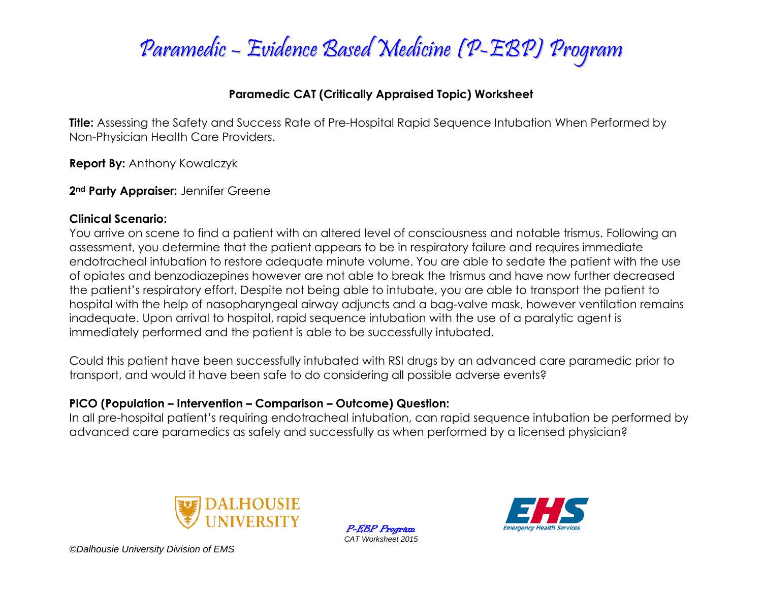

#### **Paramedic CAT (Critically Appraised Topic) Worksheet**

**Title:** Assessing the Safety and Success Rate of Pre-Hospital Rapid Sequence Intubation When Performed by Non-Physician Health Care Providers.

**Report By:** Anthony Kowalczyk

**2nd Party Appraiser:** Jennifer Greene

#### **Clinical Scenario:**

You arrive on scene to find a patient with an altered level of consciousness and notable trismus. Following an assessment, you determine that the patient appears to be in respiratory failure and requires immediate endotracheal intubation to restore adequate minute volume. You are able to sedate the patient with the use of opiates and benzodiazepines however are not able to break the trismus and have now further decreased the patient's respiratory effort. Despite not being able to intubate, you are able to transport the patient to hospital with the help of nasopharyngeal airway adjuncts and a bag-valve mask, however ventilation remains inadequate. Upon arrival to hospital, rapid sequence intubation with the use of a paralytic agent is immediately performed and the patient is able to be successfully intubated.

Could this patient have been successfully intubated with RSI drugs by an advanced care paramedic prior to transport, and would it have been safe to do considering all possible adverse events?

#### **PICO (Population – Intervention – Comparison – Outcome) Question:**

In all pre-hospital patient's requiring endotracheal intubation, can rapid sequence intubation be performed by advanced care paramedics as safely and successfully as when performed by a licensed physician?



P-EBP Program *CAT Worksheet 2015*

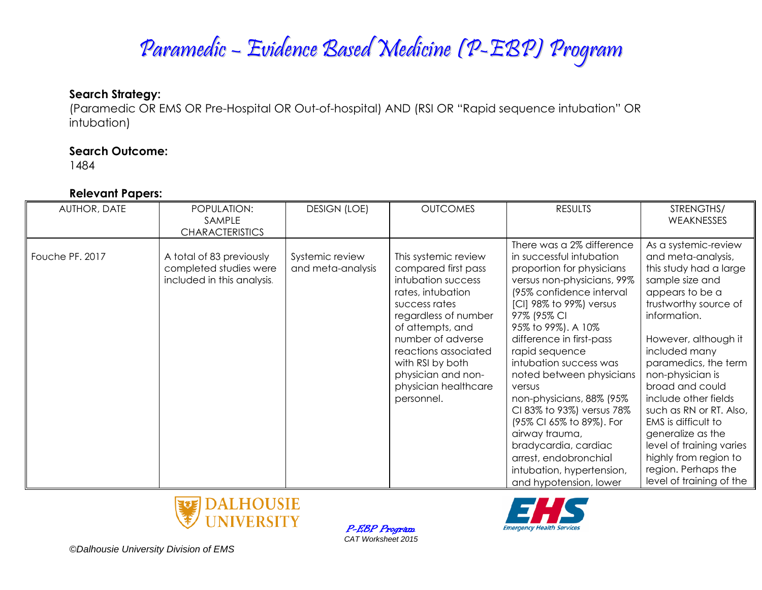### Paramedic – Evidence Based Medicine (P-EBP) Program

#### **Search Strategy:**

(Paramedic OR EMS OR Pre-Hospital OR Out-of-hospital) AND (RSI OR "Rapid sequence intubation" OR intubation)

#### **Search Outcome:**

1484

#### **Relevant Papers:**

| AUTHOR, DATE    | POPULATION:<br>SAMPLE                                                            | <b>DESIGN (LOE)</b>                  | <b>OUTCOMES</b>                                                                                                                                                                                                                                                                  | <b>RESULTS</b>                                                                                                                                                                                                                                                                                                                                                                                                                                                                                                                            | STRENGTHS/<br>WEAKNESSES                                                                                                                                                                                                                                                                                                                                                                                                                                           |
|-----------------|----------------------------------------------------------------------------------|--------------------------------------|----------------------------------------------------------------------------------------------------------------------------------------------------------------------------------------------------------------------------------------------------------------------------------|-------------------------------------------------------------------------------------------------------------------------------------------------------------------------------------------------------------------------------------------------------------------------------------------------------------------------------------------------------------------------------------------------------------------------------------------------------------------------------------------------------------------------------------------|--------------------------------------------------------------------------------------------------------------------------------------------------------------------------------------------------------------------------------------------------------------------------------------------------------------------------------------------------------------------------------------------------------------------------------------------------------------------|
|                 | <b>CHARACTERISTICS</b>                                                           |                                      |                                                                                                                                                                                                                                                                                  |                                                                                                                                                                                                                                                                                                                                                                                                                                                                                                                                           |                                                                                                                                                                                                                                                                                                                                                                                                                                                                    |
| Fouche PF. 2017 | A total of 83 previously<br>completed studies were<br>included in this analysis. | Systemic review<br>and meta-analysis | This systemic review<br>compared first pass<br>intubation success<br>rates, intubation<br>success rates<br>regardless of number<br>of attempts, and<br>number of adverse<br>reactions associated<br>with RSI by both<br>physician and non-<br>physician healthcare<br>personnel. | There was a 2% difference<br>in successful intubation<br>proportion for physicians<br>versus non-physicians, 99%<br>(95% confidence interval<br>[CI] 98% to 99%) versus<br>97% (95% CI<br>95% to 99%). A 10%<br>difference in first-pass<br>rapid sequence<br>intubation success was<br>noted between physicians<br>versus<br>non-physicians, 88% (95%<br>CI 83% to 93%) versus 78%<br>(95% CI 65% to 89%). For<br>airway trauma,<br>bradycardia, cardiac<br>arrest, endobronchial<br>intubation, hypertension,<br>and hypotension, lower | As a systemic-review<br>and meta-analysis,<br>this study had a large<br>sample size and<br>appears to be a<br>trustworthy source of<br>information.<br>However, although it<br>included many<br>paramedics, the term<br>non-physician is<br>broad and could<br>include other fields<br>such as RN or RT. Also,<br>EMS is difficult to<br>generalize as the<br>level of training varies<br>highly from region to<br>region. Perhaps the<br>level of training of the |





*©Dalhousie University Division of EMS*

P-EBP Program *CAT Worksheet 2015*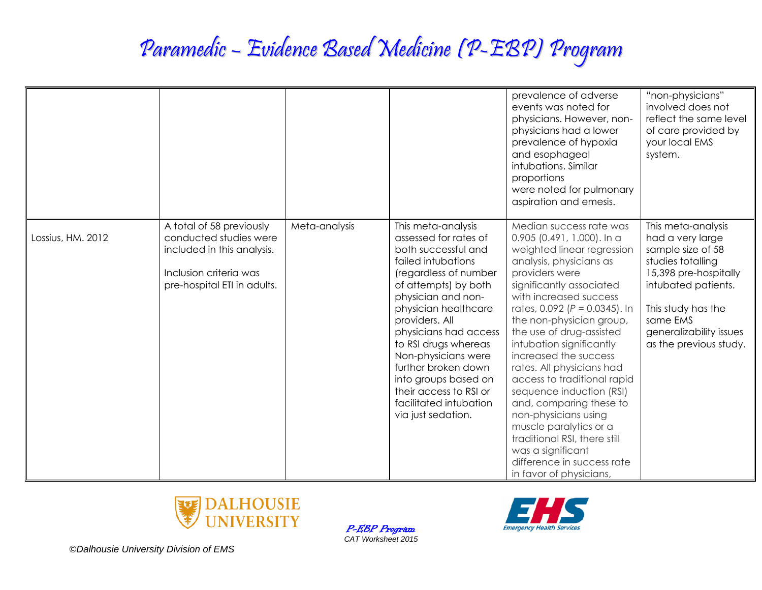# Paramedic – Evidence Based Medicine (P-EBP) Program

|                   |                                                                                                                                           |               |                                                                                                                                                                                                                                                                                                                                                                                                            | prevalence of adverse<br>events was noted for<br>physicians. However, non-<br>physicians had a lower<br>prevalence of hypoxia<br>and esophageal<br>intubations. Similar<br>proportions<br>were noted for pulmonary<br>aspiration and emesis.                                                                                                                                                                                                                                                                                                                                                                                  | "non-physicians"<br>involved does not<br>reflect the same level<br>of care provided by<br>your local EMS<br>system.                                                                                                     |
|-------------------|-------------------------------------------------------------------------------------------------------------------------------------------|---------------|------------------------------------------------------------------------------------------------------------------------------------------------------------------------------------------------------------------------------------------------------------------------------------------------------------------------------------------------------------------------------------------------------------|-------------------------------------------------------------------------------------------------------------------------------------------------------------------------------------------------------------------------------------------------------------------------------------------------------------------------------------------------------------------------------------------------------------------------------------------------------------------------------------------------------------------------------------------------------------------------------------------------------------------------------|-------------------------------------------------------------------------------------------------------------------------------------------------------------------------------------------------------------------------|
| Lossius, HM. 2012 | A total of 58 previously<br>conducted studies were<br>included in this analysis.<br>Inclusion criteria was<br>pre-hospital ETI in adults. | Meta-analysis | This meta-analysis<br>assessed for rates of<br>both successful and<br>failed intubations<br>(regardless of number<br>of attempts) by both<br>physician and non-<br>physician healthcare<br>providers. All<br>physicians had access<br>to RSI drugs whereas<br>Non-physicians were<br>further broken down<br>into groups based on<br>their access to RSI or<br>facilitated intubation<br>via just sedation. | Median success rate was<br>0.905 (0.491, 1.000). In a<br>weighted linear regression<br>analysis, physicians as<br>providers were<br>significantly associated<br>with increased success<br>rates, $0.092$ ( $P = 0.0345$ ). In<br>the non-physician group,<br>the use of drug-assisted<br>intubation significantly<br>increased the success<br>rates. All physicians had<br>access to traditional rapid<br>sequence induction (RSI)<br>and, comparing these to<br>non-physicians using<br>muscle paralytics or a<br>traditional RSI, there still<br>was a significant<br>difference in success rate<br>in favor of physicians, | This meta-analysis<br>had a very large<br>sample size of 58<br>studies totalling<br>15,398 pre-hospitally<br>intubated patients.<br>This study has the<br>same EMS<br>generalizability issues<br>as the previous study. |



P-EBP Program *CAT Worksheet 2015*

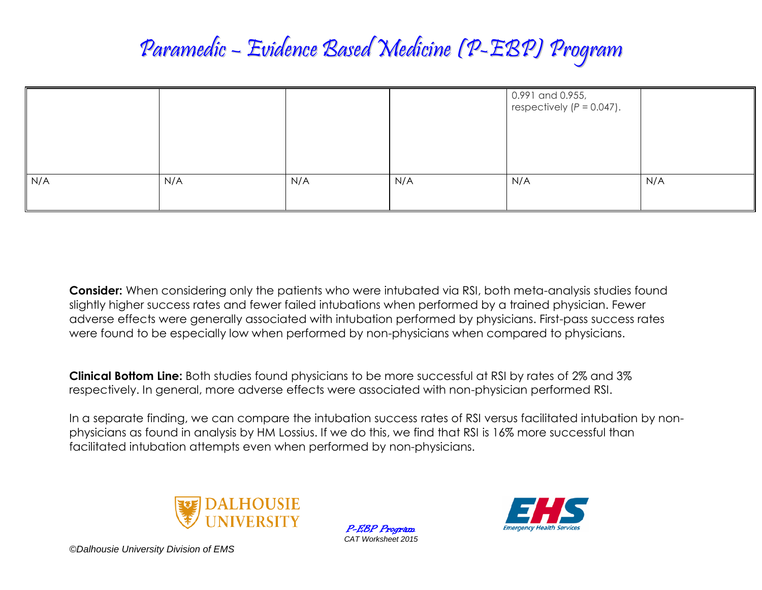## Paramedic – Evidence Based Medicine (P-EBP) Program

|     |     |     |     | 0.991 and 0.955,<br>respectively $(P = 0.047)$ . |     |
|-----|-----|-----|-----|--------------------------------------------------|-----|
| N/A | N/A | N/A | N/A | N/A                                              | N/A |

**Consider:** When considering only the patients who were intubated via RSI, both meta-analysis studies found slightly higher success rates and fewer failed intubations when performed by a trained physician. Fewer adverse effects were generally associated with intubation performed by physicians. First-pass success rates were found to be especially low when performed by non-physicians when compared to physicians.

**Clinical Bottom Line:** Both studies found physicians to be more successful at RSI by rates of 2% and 3% respectively. In general, more adverse effects were associated with non-physician performed RSI.

In a separate finding, we can compare the intubation success rates of RSI versus facilitated intubation by nonphysicians as found in analysis by HM Lossius. If we do this, we find that RSI is 16% more successful than facilitated intubation attempts even when performed by non-physicians.



P-EBP Program *CAT Worksheet 2015*